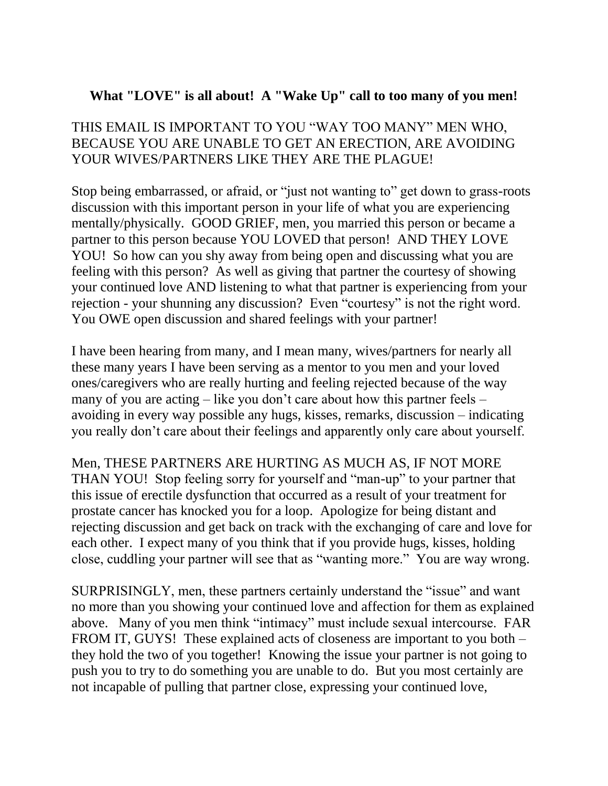## **What "LOVE" is all about! A "Wake Up" call to too many of you men!**

## THIS EMAIL IS IMPORTANT TO YOU "WAY TOO MANY" MEN WHO, BECAUSE YOU ARE UNABLE TO GET AN ERECTION, ARE AVOIDING YOUR WIVES/PARTNERS LIKE THEY ARE THE PLAGUE!

Stop being embarrassed, or afraid, or "just not wanting to" get down to grass-roots discussion with this important person in your life of what you are experiencing mentally/physically. GOOD GRIEF, men, you married this person or became a partner to this person because YOU LOVED that person! AND THEY LOVE YOU! So how can you shy away from being open and discussing what you are feeling with this person? As well as giving that partner the courtesy of showing your continued love AND listening to what that partner is experiencing from your rejection - your shunning any discussion? Even "courtesy" is not the right word. You OWE open discussion and shared feelings with your partner!

I have been hearing from many, and I mean many, wives/partners for nearly all these many years I have been serving as a mentor to you men and your loved ones/caregivers who are really hurting and feeling rejected because of the way many of you are acting – like you don't care about how this partner feels – avoiding in every way possible any hugs, kisses, remarks, discussion – indicating you really don't care about their feelings and apparently only care about yourself.

Men, THESE PARTNERS ARE HURTING AS MUCH AS, IF NOT MORE THAN YOU! Stop feeling sorry for yourself and "man-up" to your partner that this issue of erectile dysfunction that occurred as a result of your treatment for prostate cancer has knocked you for a loop. Apologize for being distant and rejecting discussion and get back on track with the exchanging of care and love for each other. I expect many of you think that if you provide hugs, kisses, holding close, cuddling your partner will see that as "wanting more." You are way wrong.

SURPRISINGLY, men, these partners certainly understand the "issue" and want no more than you showing your continued love and affection for them as explained above. Many of you men think "intimacy" must include sexual intercourse. FAR FROM IT, GUYS! These explained acts of closeness are important to you both – they hold the two of you together! Knowing the issue your partner is not going to push you to try to do something you are unable to do. But you most certainly are not incapable of pulling that partner close, expressing your continued love,